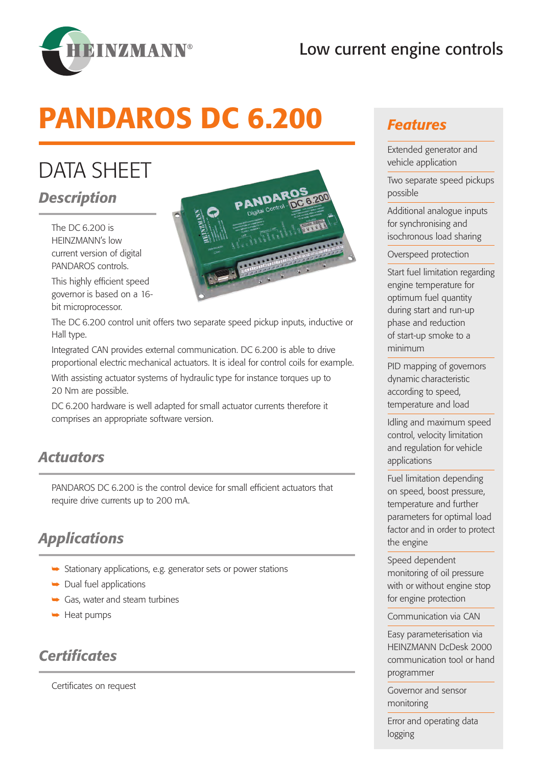# Low current engine controls



# PANDAROS DC 6.200

# DATA SHEET

#### *Description*

The DC 6.200 is HEINZMANN's low current version of digital PANDAROS controls.

This highly efficient speed governor is based on a 16 bit microprocessor.



The DC 6.200 control unit offers two separate speed pickup inputs, inductive or Hall type.

Integrated CAN provides external communication. DC 6.200 is able to drive proportional electric mechanical actuators. It is ideal for control coils for example.

With assisting actuator systems of hydraulic type for instance torques up to 20 Nm are possible.

DC 6.200 hardware is well adapted for small actuator currents therefore it comprises an appropriate software version.

#### *Actuators*

PANDAROS DC 6.200 is the control device for small efficient actuators that require drive currents up to 200 mA.

# *Applications*

- $\blacktriangleright$  Stationary applications, e.g. generator sets or power stations
- $\rightarrow$  Dual fuel applications
- $\rightarrow$  Gas, water and steam turbines
- $\rightarrow$  Heat pumps

#### *Certificates*

Certificates on request

#### *Features*

Extended generator and vehicle application

Two separate speed pickups possible

Additional analogue inputs for synchronising and isochronous load sharing

Overspeed protection

Start fuel limitation regarding engine temperature for optimum fuel quantity during start and run-up phase and reduction of start-up smoke to a minimum

PID mapping of governors dynamic characteristic according to speed, temperature and load

Idling and maximum speed control, velocity limitation and regulation for vehicle applications

Fuel limitation depending on speed, boost pressure, temperature and further parameters for optimal load factor and in order to protect the engine

Speed dependent monitoring of oil pressure with or without engine stop for engine protection

Communication via CAN

Easy parameterisation via HEINZMANN DcDesk 2000 communication tool or hand programmer

Governor and sensor monitoring

Error and operating data logging